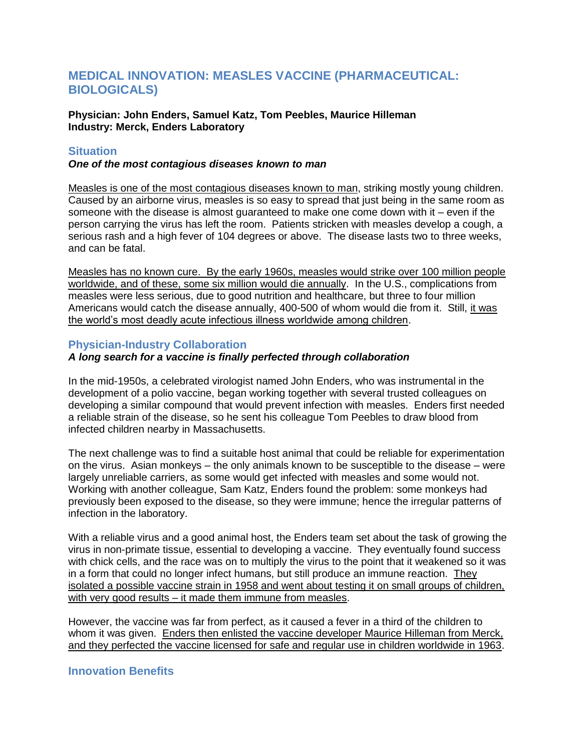# **MEDICAL INNOVATION: MEASLES VACCINE (PHARMACEUTICAL: BIOLOGICALS)**

**Physician: John Enders, Samuel Katz, Tom Peebles, Maurice Hilleman Industry: Merck, Enders Laboratory**

## **Situation**

#### *One of the most contagious diseases known to man*

Measles is one of the most contagious diseases known to man, striking mostly young children. Caused by an airborne virus, measles is so easy to spread that just being in the same room as someone with the disease is almost guaranteed to make one come down with it – even if the person carrying the virus has left the room. Patients stricken with measles develop a cough, a serious rash and a high fever of 104 degrees or above. The disease lasts two to three weeks, and can be fatal.

Measles has no known cure. By the early 1960s, measles would strike over 100 million people worldwide, and of these, some six million would die annually. In the U.S., complications from measles were less serious, due to good nutrition and healthcare, but three to four million Americans would catch the disease annually, 400-500 of whom would die from it. Still, it was the world's most deadly acute infectious illness worldwide among children.

## **Physician-Industry Collaboration**

# *A long search for a vaccine is finally perfected through collaboration*

In the mid-1950s, a celebrated virologist named John Enders, who was instrumental in the development of a polio vaccine, began working together with several trusted colleagues on developing a similar compound that would prevent infection with measles. Enders first needed a reliable strain of the disease, so he sent his colleague Tom Peebles to draw blood from infected children nearby in Massachusetts.

The next challenge was to find a suitable host animal that could be reliable for experimentation on the virus. Asian monkeys – the only animals known to be susceptible to the disease – were largely unreliable carriers, as some would get infected with measles and some would not. Working with another colleague, Sam Katz, Enders found the problem: some monkeys had previously been exposed to the disease, so they were immune; hence the irregular patterns of infection in the laboratory.

With a reliable virus and a good animal host, the Enders team set about the task of growing the virus in non-primate tissue, essential to developing a vaccine. They eventually found success with chick cells, and the race was on to multiply the virus to the point that it weakened so it was in a form that could no longer infect humans, but still produce an immune reaction. They isolated a possible vaccine strain in 1958 and went about testing it on small groups of children, with very good results – it made them immune from measles.

However, the vaccine was far from perfect, as it caused a fever in a third of the children to whom it was given. Enders then enlisted the vaccine developer Maurice Hilleman from Merck, and they perfected the vaccine licensed for safe and regular use in children worldwide in 1963.

# **Innovation Benefits**